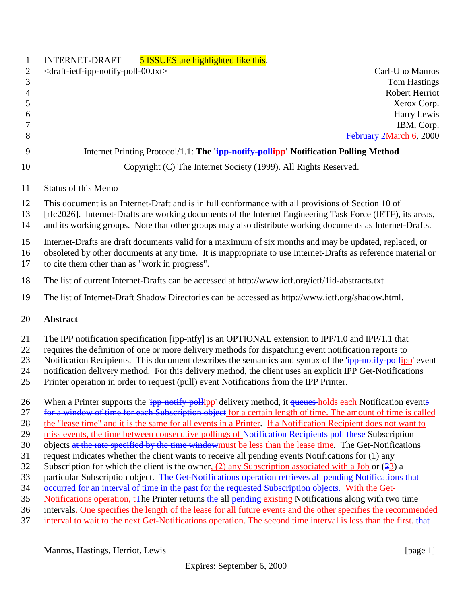| $\mathbf{1}$   | 5 ISSUES are highlighted like this.<br>INTERNET-DRAFT                                                                                                                                                                        |
|----------------|------------------------------------------------------------------------------------------------------------------------------------------------------------------------------------------------------------------------------|
| $\overline{c}$ | <draft-ietf-ipp-notify-poll-00.txt><br/>Carl-Uno Manros</draft-ietf-ipp-notify-poll-00.txt>                                                                                                                                  |
| 3              | <b>Tom Hastings</b>                                                                                                                                                                                                          |
| $\overline{4}$ | Robert Herriot                                                                                                                                                                                                               |
| 5              | Xerox Corp.                                                                                                                                                                                                                  |
| 6              | Harry Lewis                                                                                                                                                                                                                  |
| 7              | IBM, Corp.                                                                                                                                                                                                                   |
| 8              | February 2March 6, 2000                                                                                                                                                                                                      |
| 9              | Internet Printing Protocol/1.1: The 'ipp-notify-pollipp' Notification Polling Method                                                                                                                                         |
| 10             | Copyright (C) The Internet Society (1999). All Rights Reserved.                                                                                                                                                              |
| 11             | Status of this Memo                                                                                                                                                                                                          |
| 12             | This document is an Internet-Draft and is in full conformance with all provisions of Section 10 of                                                                                                                           |
| 13             | [rfc2026]. Internet-Drafts are working documents of the Internet Engineering Task Force (IETF), its areas,                                                                                                                   |
| 14             | and its working groups. Note that other groups may also distribute working documents as Internet-Drafts.                                                                                                                     |
| 15             | Internet-Drafts are draft documents valid for a maximum of six months and may be updated, replaced, or                                                                                                                       |
| 16             | obsoleted by other documents at any time. It is inappropriate to use Internet-Drafts as reference material or                                                                                                                |
| 17             | to cite them other than as "work in progress".                                                                                                                                                                               |
| 18             | The list of current Internet-Drafts can be accessed at http://www.ietf.org/ietf/1id-abstracts.txt                                                                                                                            |
| 19             | The list of Internet-Draft Shadow Directories can be accessed as http://www.ietf.org/shadow.html.                                                                                                                            |
| 20             | <b>Abstract</b>                                                                                                                                                                                                              |
| 21             | The IPP notification specification [ipp-ntfy] is an OPTIONAL extension to IPP/1.0 and IPP/1.1 that                                                                                                                           |
| 22             | requires the definition of one or more delivery methods for dispatching event notification reports to                                                                                                                        |
| 23             | Notification Recipients. This document describes the semantics and syntax of the " <b>ipp-notify-pollipp</b> ' event                                                                                                         |
| 24             | notification delivery method. For this delivery method, the client uses an explicit IPP Get-Notifications                                                                                                                    |
| 25             | Printer operation in order to request (pull) event Notifications from the IPP Printer.                                                                                                                                       |
| 26             | When a Printer supports the 'ipp-notify-pollipp' delivery method, it queues-holds each Notification events                                                                                                                   |
| 27             | for a window of time for each Subscription object for a certain length of time. The amount of time is called                                                                                                                 |
| 28             | the "lease time" and it is the same for all events in a Printer. If a Notification Recipient does not want to                                                                                                                |
| 29             | miss events, the time between consecutive pollings of Notification Recipients poll these Subscription                                                                                                                        |
| 30             | objects at the rate specified by the time windowmust be less than the lease time. The Get-Notifications                                                                                                                      |
| 31             | request indicates whether the client wants to receive all pending events Notifications for (1) any                                                                                                                           |
| 32             | Subscription for which the client is the owner, $(2)$ any Subscription associated with a Job or $(23)$ a                                                                                                                     |
| 33             | particular Subscription object. The Get-Notifications operation retrieves all pending Notifications that                                                                                                                     |
| 34             | occurred for an interval of time in the past for the requested Subscription objects. With the Get-                                                                                                                           |
| 35             | Notifications operation, t <sub>T</sub> he Printer returns the all pending existing Notifications along with two time                                                                                                        |
| 36<br>37       | intervals. One specifies the length of the lease for all future events and the other specifies the recommended<br>interval to wait to the next Get-Notifications operation. The second time interval is less than the first. |
|                |                                                                                                                                                                                                                              |
|                |                                                                                                                                                                                                                              |

Manros, Hastings, Herriot, Lewis [page 1]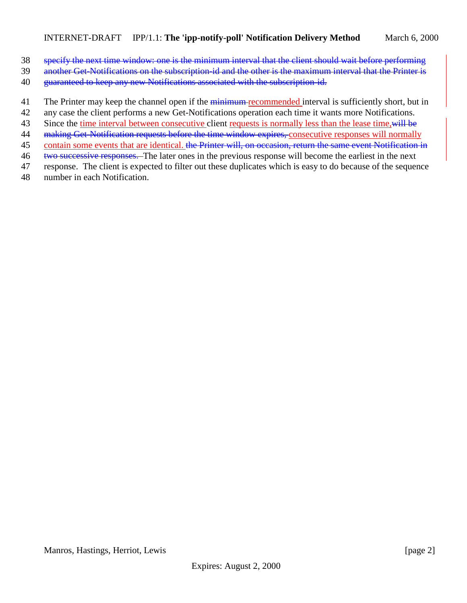- 38 specify the next time window: one is the minimum interval that the client should wait before performing
- 39 another Get-Notifications on the subscription-id and the other is the maximum interval that the Printer is
- 40 guaranteed to keep any new Notifications associated with the subscription-id.
- 41 The Printer may keep the channel open if the minimum recommended interval is sufficiently short, but in
- 42 any case the client performs a new Get-Notifications operation each time it wants more Notifications.
- 43 Since the time interval between consecutive client requests is normally less than the lease time, will be
- 44 making Get-Notification requests before the time window expires, consecutive responses will normally
- 45 contain some events that are identical. the Printer will, on occasion, return the same event Notification in
- 46 two successive responses. The later ones in the previous response will become the earliest in the next
- 47 response. The client is expected to filter out these duplicates which is easy to do because of the sequence 48 number in each Notification.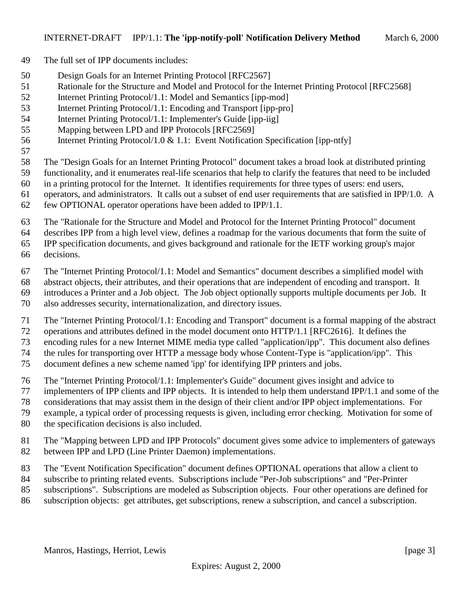- The full set of IPP documents includes:
- Design Goals for an Internet Printing Protocol [RFC2567]
- Rationale for the Structure and Model and Protocol for the Internet Printing Protocol [RFC2568]
- Internet Printing Protocol/1.1: Model and Semantics [ipp-mod]
- Internet Printing Protocol/1.1: Encoding and Transport [ipp-pro]
- Internet Printing Protocol/1.1: Implementer's Guide [ipp-iig]
- Mapping between LPD and IPP Protocols [RFC2569]
- Internet Printing Protocol/1.0 & 1.1: Event Notification Specification [ipp-ntfy]
- 
- The "Design Goals for an Internet Printing Protocol" document takes a broad look at distributed printing
- functionality, and it enumerates real-life scenarios that help to clarify the features that need to be included
- in a printing protocol for the Internet. It identifies requirements for three types of users: end users,
- operators, and administrators. It calls out a subset of end user requirements that are satisfied in IPP/1.0. A few OPTIONAL operator operations have been added to IPP/1.1.
- The "Rationale for the Structure and Model and Protocol for the Internet Printing Protocol" document
- describes IPP from a high level view, defines a roadmap for the various documents that form the suite of
- IPP specification documents, and gives background and rationale for the IETF working group's major
- decisions.
- The "Internet Printing Protocol/1.1: Model and Semantics" document describes a simplified model with
- abstract objects, their attributes, and their operations that are independent of encoding and transport. It
- introduces a Printer and a Job object. The Job object optionally supports multiple documents per Job. It
- also addresses security, internationalization, and directory issues.
- The "Internet Printing Protocol/1.1: Encoding and Transport" document is a formal mapping of the abstract
- operations and attributes defined in the model document onto HTTP/1.1 [RFC2616]. It defines the
- encoding rules for a new Internet MIME media type called "application/ipp". This document also defines the rules for transporting over HTTP a message body whose Content-Type is "application/ipp". This
- document defines a new scheme named 'ipp' for identifying IPP printers and jobs.
- The "Internet Printing Protocol/1.1: Implementer's Guide" document gives insight and advice to
- implementers of IPP clients and IPP objects. It is intended to help them understand IPP/1.1 and some of the
- considerations that may assist them in the design of their client and/or IPP object implementations. For
- example, a typical order of processing requests is given, including error checking. Motivation for some of
- the specification decisions is also included.
- The "Mapping between LPD and IPP Protocols" document gives some advice to implementers of gateways between IPP and LPD (Line Printer Daemon) implementations.
- The "Event Notification Specification" document defines OPTIONAL operations that allow a client to
- subscribe to printing related events. Subscriptions include "Per-Job subscriptions" and "Per-Printer
- subscriptions". Subscriptions are modeled as Subscription objects. Four other operations are defined for
- subscription objects: get attributes, get subscriptions, renew a subscription, and cancel a subscription.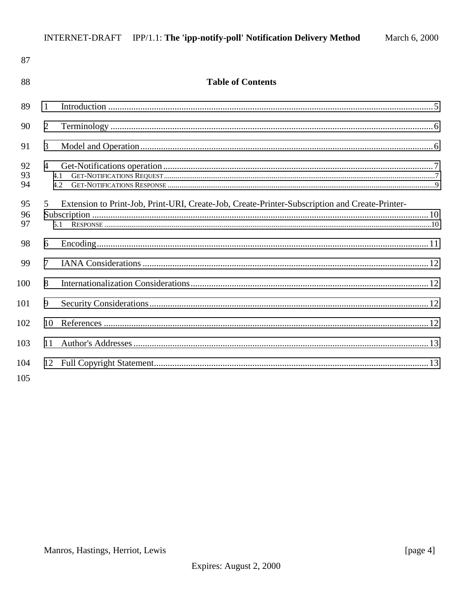| 87  |                                                                                                     |  |
|-----|-----------------------------------------------------------------------------------------------------|--|
| 88  | <b>Table of Contents</b>                                                                            |  |
| 89  | 1                                                                                                   |  |
| 90  | $\overline{2}$                                                                                      |  |
| 91  | 3                                                                                                   |  |
| 92  | $\overline{4}$                                                                                      |  |
| 93  | 4.1                                                                                                 |  |
| 94  | 4.2.                                                                                                |  |
| 95  | Extension to Print-Job, Print-URI, Create-Job, Create-Printer-Subscription and Create-Printer-<br>5 |  |
| 96  |                                                                                                     |  |
| 97  |                                                                                                     |  |
| 98  | 6                                                                                                   |  |
| 99  | $\tau$                                                                                              |  |
| 100 | 8                                                                                                   |  |
| 101 | 9                                                                                                   |  |
| 102 | 10                                                                                                  |  |
| 103 | 11                                                                                                  |  |
| 104 |                                                                                                     |  |
| 105 |                                                                                                     |  |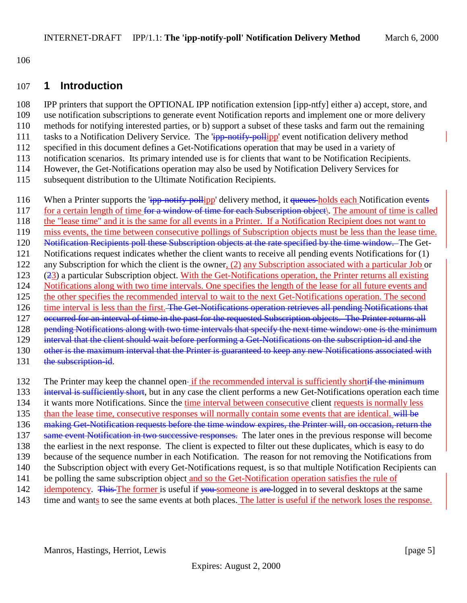<span id="page-4-0"></span>106

#### 107 **1 Introduction**

 IPP printers that support the OPTIONAL IPP notification extension [ipp-ntfy] either a) accept, store, and use notification subscriptions to generate event Notification reports and implement one or more delivery methods for notifying interested parties, or b) support a subset of these tasks and farm out the remaining 111 tasks to a Notification Delivery Service. The 'ipp-notify-pollipp' event notification delivery method specified in this document defines a Get-Notifications operation that may be used in a variety of notification scenarios. Its primary intended use is for clients that want to be Notification Recipients. However, the Get-Notifications operation may also be used by Notification Delivery Services for

115 subsequent distribution to the Ultimate Notification Recipients.

- 116 When a Printer supports the 'ipp-notify-pollipp' delivery method, it queues-holds each Notification events 117 for a certain length of time for a window of time for each Subscription object. The amount of time is called 118 the "lease time" and it is the same for all events in a Printer. If a Notification Recipient does not want to 119 miss events, the time between consecutive pollings of Subscription objects must be less than the lease time. 120 Notification Recipients poll these Subscription objects at the rate specified by the time window. The Get-121 Notifications request indicates whether the client wants to receive all pending events Notifications for (1) 122 any Subscription for which the client is the owner, (2) any Subscription associated with a particular Job or 123 (23) a particular Subscription object. With the Get-Notifications operation, the Printer returns all existing 124 Notifications along with two time intervals. One specifies the length of the lease for all future events and 125 the other specifies the recommended interval to wait to the next Get-Notifications operation. The second 126 time interval is less than the first. The Get-Notifications operation retrieves all pending Notifications that 127 occurred for an interval of time in the past for the requested Subscription objects. The Printer returns all 128 pending Notifications along with two time intervals that specify the next time window: one is the minimum 129 interval that the client should wait before performing a Get-Notifications on the subscription-id and the 130 other is the maximum interval that the Printer is guaranteed to keep any new Notifications associated with 131 the subscription-id.
- 132 The Printer may keep the channel open-if the recommended interval is sufficiently shortif the minimum
- 133 interval is sufficiently short, but in any case the client performs a new Get-Notifications operation each time
- 134 it wants more Notifications. Since the time interval between consecutive client requests is normally less
- 135 than the lease time, consecutive responses will normally contain some events that are identical. will be
- 136 making Get-Notification requests before the time window expires, the Printer will, on occasion, return the
- 137 same event Notification in two successive responses. The later ones in the previous response will become
- 138 the earliest in the next response. The client is expected to filter out these duplicates, which is easy to do
- 139 because of the sequence number in each Notification. The reason for not removing the Notifications from
- 140 the Subscription object with every Get-Notifications request, is so that multiple Notification Recipients can
- 141 be polling the same subscription object and so the Get-Notification operation satisfies the rule of
- 142 idempotency. This The former is useful if you someone is are logged in to several desktops at the same
- 143 time and wants to see the same events at both places. The latter is useful if the network loses the response.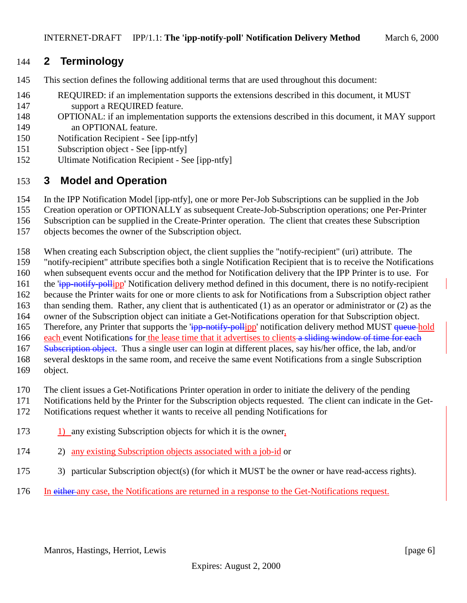# <span id="page-5-0"></span>**2 Terminology**

- This section defines the following additional terms that are used throughout this document:
- REQUIRED: if an implementation supports the extensions described in this document, it MUST support a REQUIRED feature.
- OPTIONAL: if an implementation supports the extensions described in this document, it MAY support an OPTIONAL feature.
- Notification Recipient See [ipp-ntfy]
- Subscription object See [ipp-ntfy]
- Ultimate Notification Recipient See [ipp-ntfy]

#### **3 Model and Operation**

- In the IPP Notification Model [ipp-ntfy], one or more Per-Job Subscriptions can be supplied in the Job
- Creation operation or OPTIONALLY as subsequent Create-Job-Subscription operations; one Per-Printer
- Subscription can be supplied in the Create-Printer operation. The client that creates these Subscription
- objects becomes the owner of the Subscription object.
- When creating each Subscription object, the client supplies the "notify-recipient" (uri) attribute. The
- "notify-recipient" attribute specifies both a single Notification Recipient that is to receive the Notifications
- when subsequent events occur and the method for Notification delivery that the IPP Printer is to use. For
- 161 the 'ipp-notify-pollipp' Notification delivery method defined in this document, there is no notify-recipient
- because the Printer waits for one or more clients to ask for Notifications from a Subscription object rather
- than sending them. Rather, any client that is authenticated (1) as an operator or administrator or (2) as the
- owner of the Subscription object can initiate a Get-Notifications operation for that Subscription object. 165 Therefore, any Printer that supports the 'ipp-notify-pollipp' notification delivery method MUST queue hold
- 166 each event Notifications for the lease time that it advertises to clients a sliding window of time for each
- 167 Subscription object. Thus a single user can login at different places, say his/her office, the lab, and/or
- several desktops in the same room, and receive the same event Notifications from a single Subscription
- object.
- The client issues a Get-Notifications Printer operation in order to initiate the delivery of the pending
- Notifications held by the Printer for the Subscription objects requested. The client can indicate in the Get-
- Notifications request whether it wants to receive all pending Notifications for
- 1) any existing Subscription objects for which it is the owner,
- 2) any existing Subscription objects associated with a job-id or
- 3) particular Subscription object(s) (for which it MUST be the owner or have read-access rights).
- In either any case, the Notifications are returned in a response to the Get-Notifications request.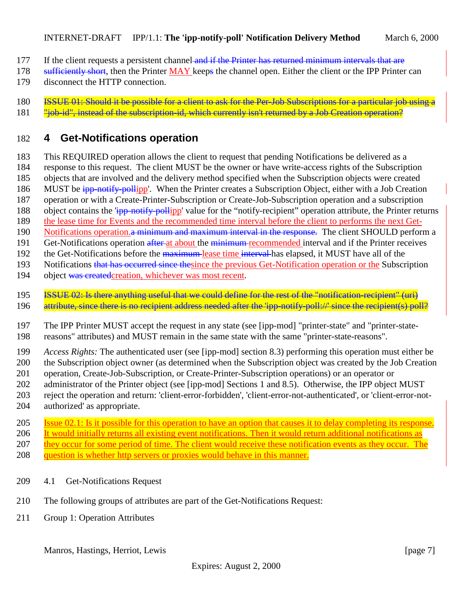- <span id="page-6-0"></span>177 If the client requests a persistent channel and if the Printer has returned minimum intervals that are
- 178 sufficiently short, then the Printer MAY keeps the channel open. Either the client or the IPP Printer can
- 179 disconnect the HTTP connection.
- 180 **ISSUE 01: Should it be possible for a client to ask for the Per-Job Subscriptions for a particular job using a**
- 181 "job-id", instead of the subscription-id, which currently isn't returned by a Job Creation operation?

# 182 **4 Get-Notifications operation**

183 This REQUIRED operation allows the client to request that pending Notifications be delivered as a

- 184 response to this request. The client MUST be the owner or have write-access rights of the Subscription
- 185 objects that are involved and the delivery method specified when the Subscription objects were created
- 186 MUST be ipp-notify-pollipp'. When the Printer creates a Subscription Object, either with a Job Creation
- 187 operation or with a Create-Printer-Subscription or Create-Job-Subscription operation and a subscription
- 188 object contains the  $\frac{1}{1}$  ipp-notify-pollipp' value for the "notify-recipient" operation attribute, the Printer returns
- 189 the lease time for Events and the recommended time interval before the client to performs the next Get-
- 190 Notifications operation. a minimum and maximum interval in the response. The client SHOULD perform a
- 191 Get-Notifications operation after at about the minimum-recommended interval and if the Printer receives 192 the Get-Notifications before the maximum lease time interval has elapsed, it MUST have all of the
- 193 Notifications that has occurred since thesince the previous Get-Notification operation or the Subscription
- 
- 194 object was created creation, whichever was most recent.
- 195 ISSUE 02: Is there anything useful that we could define for the rest of the "notification-recipient" (uri) 196 attribute, since there is no recipient address needed after the 'ipp-notify-poll://' since the recipient(s) poll?
- 197 The IPP Printer MUST accept the request in any state (see [ipp-mod] "printer-state" and "printer-state-198 reasons" attributes) and MUST remain in the same state with the same "printer-state-reasons".
- 199 *Access Rights:* The authenticated user (see [ipp-mod] section 8.3) performing this operation must either be 200 the Subscription object owner (as determined when the Subscription object was created by the Job Creation
- 201 operation, Create-Job-Subscription, or Create-Printer-Subscription operations) or an operator or
- 202 administrator of the Printer object (see [ipp-mod] Sections 1 and 8.5). Otherwise, the IPP object MUST
- 203 reject the operation and return: 'client-error-forbidden', 'client-error-not-authenticated', or 'client-error-not-204 authorized' as appropriate.
- 205 Issue 02.1: Is it possible for this operation to have an option that causes it to delay completing its response. 206 It would initially returns all existing event notifications. Then it would return additional notifications as 207 they occur for some period of time. The client would receive these notification events as they occur. The 208 question is whether http servers or proxies would behave in this manner.
- 209 4.1 Get-Notifications Request
- 210 The following groups of attributes are part of the Get-Notifications Request:
- 211 Group 1: Operation Attributes

Manros, Hastings, Herriot, Lewis [page 7]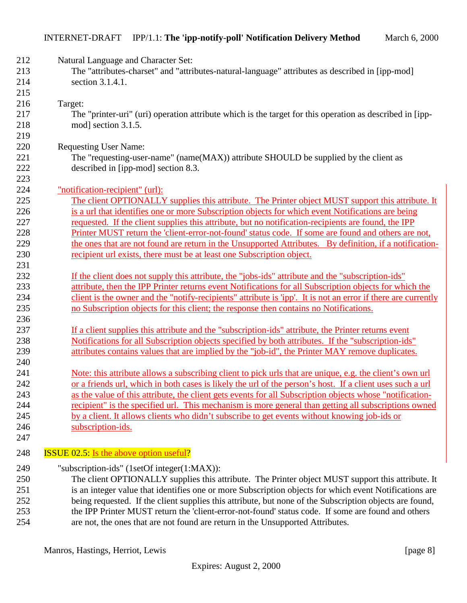| 212<br>213<br>214<br>215                      | Natural Language and Character Set:<br>The "attributes-charset" and "attributes-natural-language" attributes as described in [ipp-mod]<br>section 3.1.4.1.                                                                                                                                                                                                                                                                                                                                                                                                                                                                                  |
|-----------------------------------------------|---------------------------------------------------------------------------------------------------------------------------------------------------------------------------------------------------------------------------------------------------------------------------------------------------------------------------------------------------------------------------------------------------------------------------------------------------------------------------------------------------------------------------------------------------------------------------------------------------------------------------------------------|
| 216<br>217<br>218<br>219                      | Target:<br>The "printer-uri" (uri) operation attribute which is the target for this operation as described in [ipp-<br>mod] section 3.1.5.                                                                                                                                                                                                                                                                                                                                                                                                                                                                                                  |
| 220<br>221<br>222<br>223                      | <b>Requesting User Name:</b><br>The "requesting-user-name" (name(MAX)) attribute SHOULD be supplied by the client as<br>described in [ipp-mod] section 8.3.                                                                                                                                                                                                                                                                                                                                                                                                                                                                                 |
| 224<br>225<br>226<br>227<br>228<br>229<br>230 | "notification-recipient" (url):<br>The client OPTIONALLY supplies this attribute. The Printer object MUST support this attribute. It<br>is a url that identifies one or more Subscription objects for which event Notifications are being<br>requested. If the client supplies this attribute, but no notification-recipients are found, the IPP<br>Printer MUST return the 'client-error-not-found' status code. If some are found and others are not,<br>the ones that are not found are return in the Unsupported Attributes. By definition, if a notification-<br>recipient url exists, there must be at least one Subscription object. |
| 231<br>232<br>233<br>234<br>235<br>236        | If the client does not supply this attribute, the "jobs-ids" attribute and the "subscription-ids"<br>attribute, then the IPP Printer returns event Notifications for all Subscription objects for which the<br>client is the owner and the "notify-recipients" attribute is 'ipp'. It is not an error if there are currently<br>no Subscription objects for this client; the response then contains no Notifications.                                                                                                                                                                                                                       |
| 237<br>238<br>239<br>240                      | If a client supplies this attribute and the "subscription-ids" attribute, the Printer returns event<br>Notifications for all Subscription objects specified by both attributes. If the "subscription-ids"<br>attributes contains values that are implied by the "job-id", the Printer MAY remove duplicates.                                                                                                                                                                                                                                                                                                                                |
| 241<br>242<br>243<br>244<br>245               | Note: this attribute allows a subscribing client to pick urls that are unique, e.g. the client's own url<br>or a friends url, which in both cases is likely the url of the person's host. If a client uses such a url<br>as the value of this attribute, the client gets events for all Subscription objects whose "notification-<br>recipient" is the specified url. This mechanism is more general than getting all subscriptions owned<br>by a client. It allows clients who didn't subscribe to get events without knowing job-ids or                                                                                                   |
| 246<br>247<br>248                             | subscription-ids.<br><b>ISSUE 02.5:</b> Is the above option useful?                                                                                                                                                                                                                                                                                                                                                                                                                                                                                                                                                                         |

249 "subscription-ids" (1setOf integer(1:MAX)):

 The client OPTIONALLY supplies this attribute. The Printer object MUST support this attribute. It is an integer value that identifies one or more Subscription objects for which event Notifications are being requested. If the client supplies this attribute, but none of the Subscription objects are found, the IPP Printer MUST return the 'client-error-not-found' status code. If some are found and others are not, the ones that are not found are return in the Unsupported Attributes.

Manros, Hastings, Herriot, Lewis [page 8]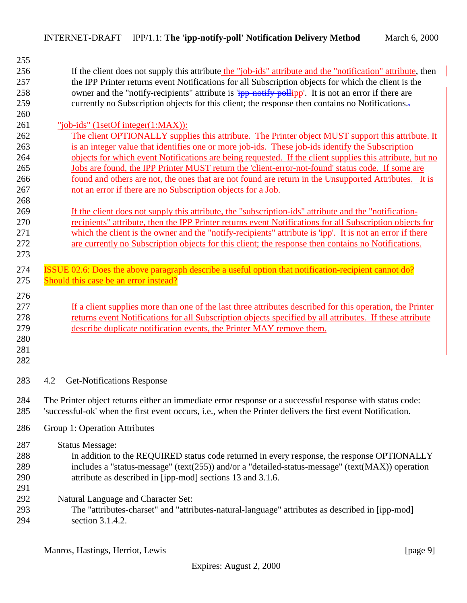<span id="page-8-0"></span>

| 255 |                                                                                                               |  |  |
|-----|---------------------------------------------------------------------------------------------------------------|--|--|
| 256 | If the client does not supply this attribute the "job-ids" attribute and the "notification" attribute, then   |  |  |
| 257 | the IPP Printer returns event Notifications for all Subscription objects for which the client is the          |  |  |
| 258 | owner and the "notify-recipients" attribute is " <b>ipp-notify-pollipp</b> ". It is not an error if there are |  |  |
| 259 | currently no Subscription objects for this client; the response then contains no Notifications.               |  |  |
| 260 |                                                                                                               |  |  |
| 261 | "job-ids" (1setOf integer(1:MAX)):                                                                            |  |  |
| 262 | The client OPTIONALLY supplies this attribute. The Printer object MUST support this attribute. It             |  |  |
| 263 | is an integer value that identifies one or more job-ids. These job-ids identify the Subscription              |  |  |
| 264 | objects for which event Notifications are being requested. If the client supplies this attribute, but no      |  |  |
| 265 | Jobs are found, the IPP Printer MUST return the 'client-error-not-found' status code. If some are             |  |  |
| 266 | found and others are not, the ones that are not found are return in the Unsupported Attributes. It is         |  |  |
| 267 | not an error if there are no Subscription objects for a Job.                                                  |  |  |
| 268 |                                                                                                               |  |  |
| 269 | If the client does not supply this attribute, the "subscription-ids" attribute and the "notification-         |  |  |
| 270 | recipients" attribute, then the IPP Printer returns event Notifications for all Subscription objects for      |  |  |
| 271 | which the client is the owner and the "notify-recipients" attribute is 'ipp'. It is not an error if there     |  |  |
| 272 | are currently no Subscription objects for this client; the response then contains no Notifications.           |  |  |
| 273 |                                                                                                               |  |  |
|     |                                                                                                               |  |  |
| 274 | ISSUE 02.6: Does the above paragraph describe a useful option that notification-recipient cannot do?          |  |  |
| 275 | Should this case be an error instead?                                                                         |  |  |
| 276 |                                                                                                               |  |  |
| 277 | If a client supplies more than one of the last three attributes described for this operation, the Printer     |  |  |
| 278 | returns event Notifications for all Subscription objects specified by all attributes. If these attribute      |  |  |
| 279 | describe duplicate notification events, the Printer MAY remove them.                                          |  |  |
| 280 |                                                                                                               |  |  |
| 281 |                                                                                                               |  |  |
| 282 |                                                                                                               |  |  |
|     |                                                                                                               |  |  |
| 283 | <b>Get-Notifications Response</b><br>4.2                                                                      |  |  |
|     |                                                                                                               |  |  |
| 284 | The Printer object returns either an immediate error response or a successful response with status code:      |  |  |
| 285 | 'successful-ok' when the first event occurs, i.e., when the Printer delivers the first event Notification.    |  |  |
|     |                                                                                                               |  |  |
| 286 | Group 1: Operation Attributes                                                                                 |  |  |
| 287 | <b>Status Message:</b>                                                                                        |  |  |
| 288 | In addition to the REQUIRED status code returned in every response, the response OPTIONALLY                   |  |  |
| 289 | includes a "status-message" (text(255)) and/or a "detailed-status-message" (text(MAX)) operation              |  |  |
| 290 | attribute as described in [ipp-mod] sections 13 and 3.1.6.                                                    |  |  |
| 291 |                                                                                                               |  |  |
| 292 | Natural Language and Character Set:                                                                           |  |  |
|     |                                                                                                               |  |  |
| 293 | The "attributes-charset" and "attributes-natural-language" attributes as described in [ipp-mod]               |  |  |
| 294 | section 3.1.4.2.                                                                                              |  |  |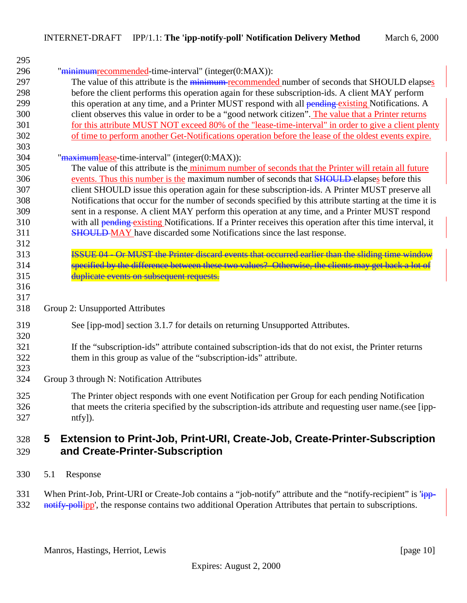<span id="page-9-0"></span>

| 295 |                                                                                                                   |
|-----|-------------------------------------------------------------------------------------------------------------------|
| 296 | "minimumrecommended-time-interval" (integer(0:MAX)):                                                              |
| 297 | The value of this attribute is the <i>minimum-recommended</i> number of seconds that SHOULD elapses               |
| 298 | before the client performs this operation again for these subscription-ids. A client MAY perform                  |
| 299 | this operation at any time, and a Printer MUST respond with all pending existing Notifications. A                 |
| 300 | client observes this value in order to be a "good network citizen". The value that a Printer returns              |
| 301 | for this attribute MUST NOT exceed 80% of the "lease-time-interval" in order to give a client plenty              |
| 302 | of time to perform another Get-Notifications operation before the lease of the oldest events expire.              |
| 303 |                                                                                                                   |
| 304 | "maximumlease-time-interval" (integer(0:MAX)):                                                                    |
| 305 | The value of this attribute is the minimum number of seconds that the Printer will retain all future              |
| 306 | events. Thus this number is the maximum number of seconds that <b>SHOULD</b> elapses before this                  |
| 307 | client SHOULD issue this operation again for these subscription-ids. A Printer MUST preserve all                  |
| 308 | Notifications that occur for the number of seconds specified by this attribute starting at the time it is         |
| 309 | sent in a response. A client MAY perform this operation at any time, and a Printer MUST respond                   |
| 310 | with all <b>pending existing</b> Notifications. If a Printer receives this operation after this time interval, it |
| 311 | <b>SHOULD-MAY</b> have discarded some Notifications since the last response.                                      |
| 312 |                                                                                                                   |
| 313 | <b>ISSUE 04 - Or MUST the Printer diseard events that occurred earlier than the sliding time window</b>           |
| 314 | specified by the difference between these two values? Otherwise, the clients may get back a lot of                |
| 315 | duplicate events on subsequent requests.                                                                          |
| 316 |                                                                                                                   |
| 317 |                                                                                                                   |
| 318 | Group 2: Unsupported Attributes                                                                                   |
| 319 | See [ipp-mod] section 3.1.7 for details on returning Unsupported Attributes.                                      |
| 320 |                                                                                                                   |
| 321 | If the "subscription-ids" attribute contained subscription-ids that do not exist, the Printer returns             |
| 322 | them in this group as value of the "subscription-ids" attribute.                                                  |
| 323 |                                                                                                                   |
| 324 | Group 3 through N: Notification Attributes                                                                        |
| 325 | The Printer object responds with one event Notification per Group for each pending Notification                   |
| 326 | that meets the criteria specified by the subscription-ids attribute and requesting user name.(see [ipp-           |
| 327 | $ntfy$ ]).                                                                                                        |
| 328 | Extension to Print-Job, Print-URI, Create-Job, Create-Printer-Subscription<br>5                                   |

# **and Create-Printer-Subscription**

5.1 Response

331 When Print-Job, Print-URI or Create-Job contains a "job-notify" attribute and the "notify-recipient" is 'ipp-<br>332 notify-pollipp', the response contains two additional Operation Attributes that pertain to subscriptions notify-pollipp', the response contains two additional Operation Attributes that pertain to subscriptions.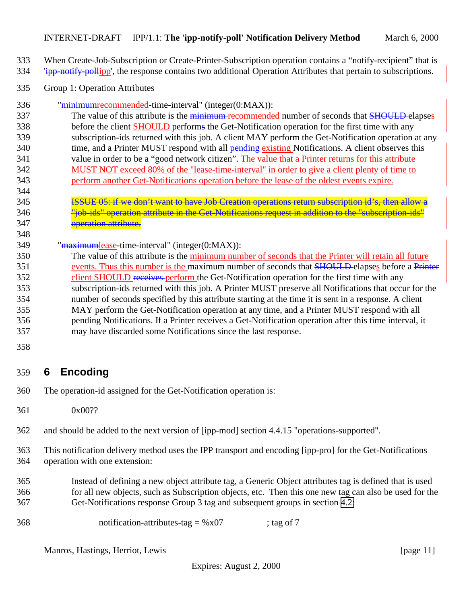#### <span id="page-10-0"></span>INTERNET-DRAFT IPP/1.1: **The 'ipp-notify-poll' Notification Delivery Method** March 6, 2000

- When Create-Job-Subscription or Create-Printer-Subscription operation contains a "notify-recipient" that is
- 334 'ipp-notify-pollipp', the response contains two additional Operation Attributes that pertain to subscriptions.
- Group 1: Operation Attributes
- "minimumrecommended-time-interval" (integer(0:MAX)):
- 337 The value of this attribute is the minimum recommended number of seconds that **SHOULD** elapses before the client SHOULD performs the Get-Notification operation for the first time with any subscription-ids returned with this job. A client MAY perform the Get-Notification operation at any 340 time, and a Printer MUST respond with all **pending existing** Notifications. A client observes this value in order to be a "good network citizen". The value that a Printer returns for this attribute MUST NOT exceed 80% of the "lease-time-interval" in order to give a client plenty of time to perform another Get-Notifications operation before the lease of the oldest events expire.
- 
- ISSUE 05: if we don't want to have Job Creation operations return subscription id's, then allow a "job-ids" operation attribute in the Get-Notifications request in addition to the "subscription-ids" **operation attribute.**
- 349 "maximumlease-time-interval" (integer(0:MAX)):
- The value of this attribute is the minimum number of seconds that the Printer will retain all future 351 events. Thus this number is the maximum number of seconds that **SHOULD** elapses before a Printer 352 client SHOULD receives perform the Get-Notification operation for the first time with any subscription-ids returned with this job. A Printer MUST preserve all Notifications that occur for the number of seconds specified by this attribute starting at the time it is sent in a response. A client MAY perform the Get-Notification operation at any time, and a Printer MUST respond with all pending Notifications. If a Printer receives a Get-Notification operation after this time interval, it may have discarded some Notifications since the last response.
- 

# **6 Encoding**

- The operation-id assigned for the Get-Notification operation is:
- 0x00??

and should be added to the next version of [ipp-mod] section 4.4.15 "operations-supported".

- This notification delivery method uses the IPP transport and encoding [ipp-pro] for the Get-Notifications operation with one extension:
- Instead of defining a new object attribute tag, a Generic Object attributes tag is defined that is used for all new objects, such as Subscription objects, etc. Then this one new tag can also be used for the Get-Notifications response Group 3 tag and subsequent groups in section [4.2:](#page-8-0)

notification-attributes-tag = %x07 ; tag of 7

Manros, Hastings, Herriot, Lewis [page 11]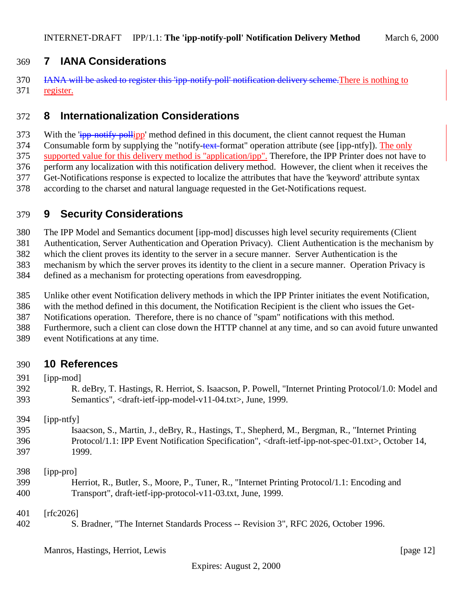#### <span id="page-11-0"></span>**7 IANA Considerations**

370 IANA will be asked to register this 'ipp-notify-poll' notification delivery scheme. There is nothing to register.

# **8 Internationalization Considerations**

373 With the 'ipp-notify-pollipp' method defined in this document, the client cannot request the Human 374 Consumable form by supplying the "notify-text-format" operation attribute (see [ipp-ntfy]). The only supported value for this delivery method is "application/ipp". Therefore, the IPP Printer does not have to perform any localization with this notification delivery method. However, the client when it receives the Get-Notifications response is expected to localize the attributes that have the 'keyword' attribute syntax according to the charset and natural language requested in the Get-Notifications request.

# **9 Security Considerations**

The IPP Model and Semantics document [ipp-mod] discusses high level security requirements (Client

Authentication, Server Authentication and Operation Privacy). Client Authentication is the mechanism by

 which the client proves its identity to the server in a secure manner. Server Authentication is the mechanism by which the server proves its identity to the client in a secure manner. Operation Privacy is

defined as a mechanism for protecting operations from eavesdropping.

Unlike other event Notification delivery methods in which the IPP Printer initiates the event Notification,

with the method defined in this document, the Notification Recipient is the client who issues the Get-

Notifications operation. Therefore, there is no chance of "spam" notifications with this method.

Furthermore, such a client can close down the HTTP channel at any time, and so can avoid future unwanted

event Notifications at any time.

#### **10 References**

[ipp-mod]

 R. deBry, T. Hastings, R. Herriot, S. Isaacson, P. Powell, "Internet Printing Protocol/1.0: Model and Semantics", <draft-ietf-ipp-model-v11-04.txt>, June, 1999.

[ipp-ntfy]

 Isaacson, S., Martin, J., deBry, R., Hastings, T., Shepherd, M., Bergman, R., "Internet Printing Protocol/1.1: IPP Event Notification Specification", <draft-ietf-ipp-not-spec-01.txt>, October 14, 1999.

[ipp-pro]

 Herriot, R., Butler, S., Moore, P., Tuner, R., "Internet Printing Protocol/1.1: Encoding and Transport", draft-ietf-ipp-protocol-v11-03.txt, June, 1999.

[rfc2026]

S. Bradner, "The Internet Standards Process -- Revision 3", RFC 2026, October 1996.

Manros, Hastings, Herriot, Lewis [page 12]